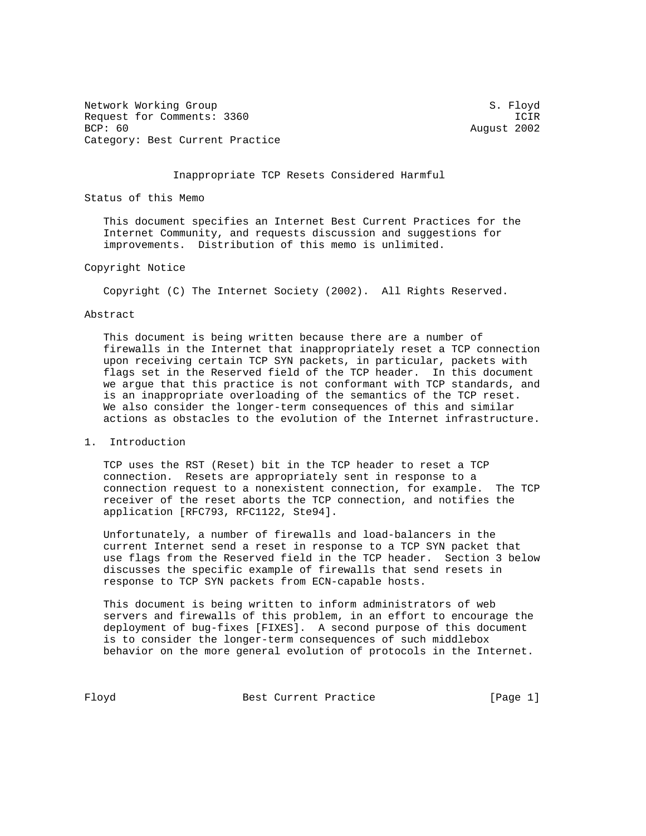Network Working Group S. Floyd Request for Comments: 3360<br>BCP: 60 August 2002 Category: Best Current Practice

August 2002

## Inappropriate TCP Resets Considered Harmful

Status of this Memo

 This document specifies an Internet Best Current Practices for the Internet Community, and requests discussion and suggestions for improvements. Distribution of this memo is unlimited.

## Copyright Notice

Copyright (C) The Internet Society (2002). All Rights Reserved.

# Abstract

 This document is being written because there are a number of firewalls in the Internet that inappropriately reset a TCP connection upon receiving certain TCP SYN packets, in particular, packets with flags set in the Reserved field of the TCP header. In this document we argue that this practice is not conformant with TCP standards, and is an inappropriate overloading of the semantics of the TCP reset. We also consider the longer-term consequences of this and similar actions as obstacles to the evolution of the Internet infrastructure.

1. Introduction

 TCP uses the RST (Reset) bit in the TCP header to reset a TCP connection. Resets are appropriately sent in response to a connection request to a nonexistent connection, for example. The TCP receiver of the reset aborts the TCP connection, and notifies the application [RFC793, RFC1122, Ste94].

 Unfortunately, a number of firewalls and load-balancers in the current Internet send a reset in response to a TCP SYN packet that use flags from the Reserved field in the TCP header. Section 3 below discusses the specific example of firewalls that send resets in response to TCP SYN packets from ECN-capable hosts.

 This document is being written to inform administrators of web servers and firewalls of this problem, in an effort to encourage the deployment of bug-fixes [FIXES]. A second purpose of this document is to consider the longer-term consequences of such middlebox behavior on the more general evolution of protocols in the Internet.

Floyd Best Current Practice [Page 1]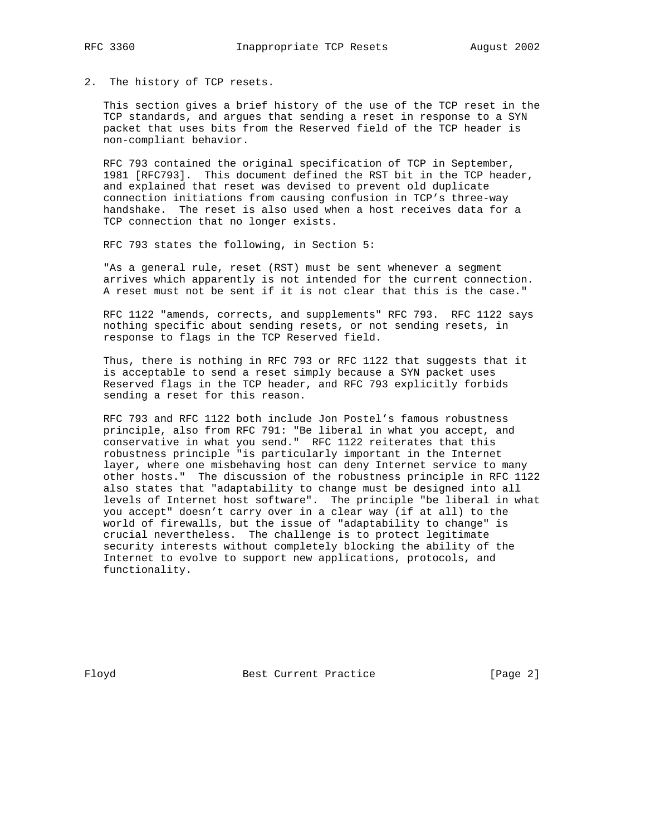2. The history of TCP resets.

 This section gives a brief history of the use of the TCP reset in the TCP standards, and argues that sending a reset in response to a SYN packet that uses bits from the Reserved field of the TCP header is non-compliant behavior.

 RFC 793 contained the original specification of TCP in September, 1981 [RFC793]. This document defined the RST bit in the TCP header, and explained that reset was devised to prevent old duplicate connection initiations from causing confusion in TCP's three-way handshake. The reset is also used when a host receives data for a TCP connection that no longer exists.

RFC 793 states the following, in Section 5:

 "As a general rule, reset (RST) must be sent whenever a segment arrives which apparently is not intended for the current connection. A reset must not be sent if it is not clear that this is the case."

 RFC 1122 "amends, corrects, and supplements" RFC 793. RFC 1122 says nothing specific about sending resets, or not sending resets, in response to flags in the TCP Reserved field.

 Thus, there is nothing in RFC 793 or RFC 1122 that suggests that it is acceptable to send a reset simply because a SYN packet uses Reserved flags in the TCP header, and RFC 793 explicitly forbids sending a reset for this reason.

 RFC 793 and RFC 1122 both include Jon Postel's famous robustness principle, also from RFC 791: "Be liberal in what you accept, and conservative in what you send." RFC 1122 reiterates that this robustness principle "is particularly important in the Internet layer, where one misbehaving host can deny Internet service to many other hosts." The discussion of the robustness principle in RFC 1122 also states that "adaptability to change must be designed into all levels of Internet host software". The principle "be liberal in what you accept" doesn't carry over in a clear way (if at all) to the world of firewalls, but the issue of "adaptability to change" is crucial nevertheless. The challenge is to protect legitimate security interests without completely blocking the ability of the Internet to evolve to support new applications, protocols, and functionality.

Floyd Best Current Practice [Page 2]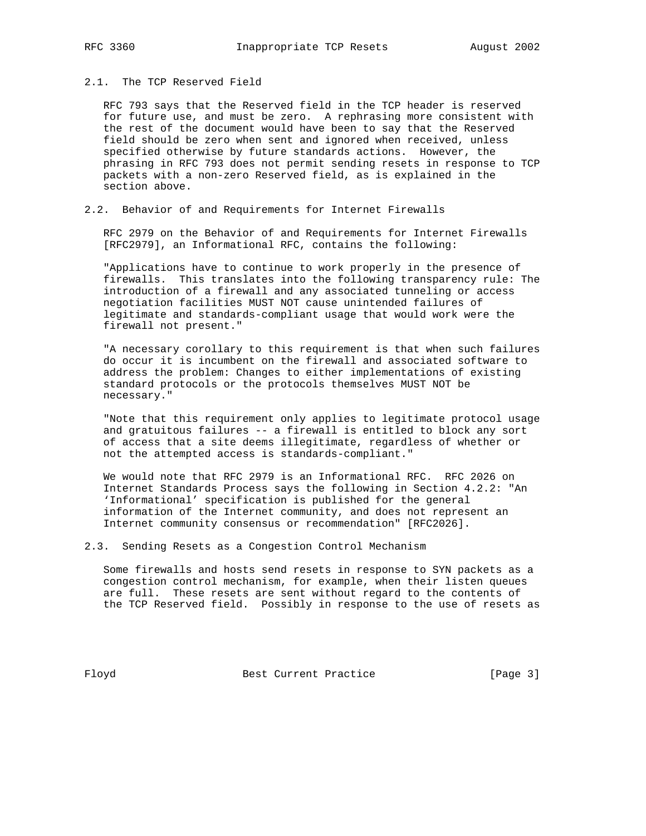# 2.1. The TCP Reserved Field

 RFC 793 says that the Reserved field in the TCP header is reserved for future use, and must be zero. A rephrasing more consistent with the rest of the document would have been to say that the Reserved field should be zero when sent and ignored when received, unless specified otherwise by future standards actions. However, the phrasing in RFC 793 does not permit sending resets in response to TCP packets with a non-zero Reserved field, as is explained in the section above.

## 2.2. Behavior of and Requirements for Internet Firewalls

 RFC 2979 on the Behavior of and Requirements for Internet Firewalls [RFC2979], an Informational RFC, contains the following:

 "Applications have to continue to work properly in the presence of firewalls. This translates into the following transparency rule: The introduction of a firewall and any associated tunneling or access negotiation facilities MUST NOT cause unintended failures of legitimate and standards-compliant usage that would work were the firewall not present."

 "A necessary corollary to this requirement is that when such failures do occur it is incumbent on the firewall and associated software to address the problem: Changes to either implementations of existing standard protocols or the protocols themselves MUST NOT be necessary."

 "Note that this requirement only applies to legitimate protocol usage and gratuitous failures -- a firewall is entitled to block any sort of access that a site deems illegitimate, regardless of whether or not the attempted access is standards-compliant."

 We would note that RFC 2979 is an Informational RFC. RFC 2026 on Internet Standards Process says the following in Section 4.2.2: "An 'Informational' specification is published for the general information of the Internet community, and does not represent an Internet community consensus or recommendation" [RFC2026].

2.3. Sending Resets as a Congestion Control Mechanism

 Some firewalls and hosts send resets in response to SYN packets as a congestion control mechanism, for example, when their listen queues are full. These resets are sent without regard to the contents of the TCP Reserved field. Possibly in response to the use of resets as

Floyd Best Current Practice [Page 3]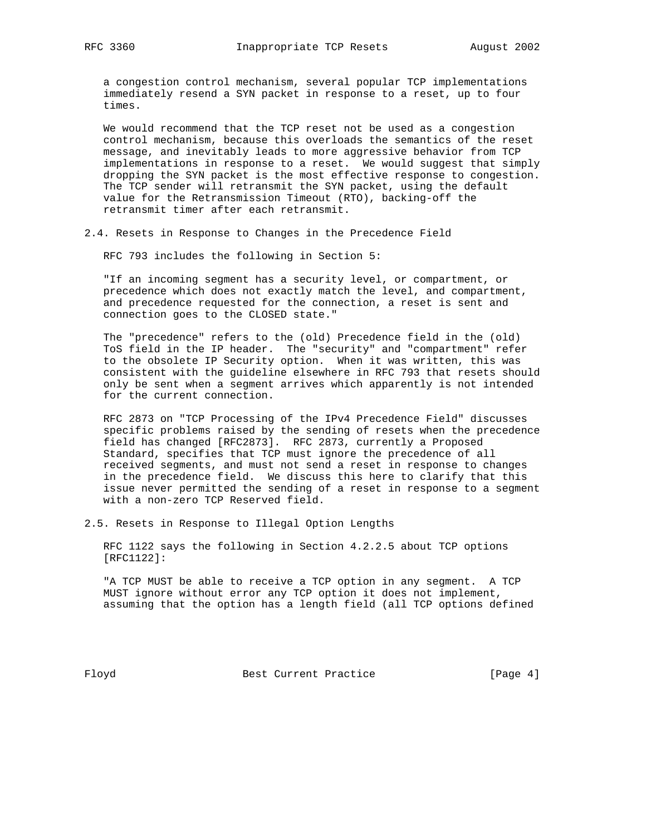a congestion control mechanism, several popular TCP implementations immediately resend a SYN packet in response to a reset, up to four times.

 We would recommend that the TCP reset not be used as a congestion control mechanism, because this overloads the semantics of the reset message, and inevitably leads to more aggressive behavior from TCP implementations in response to a reset. We would suggest that simply dropping the SYN packet is the most effective response to congestion. The TCP sender will retransmit the SYN packet, using the default value for the Retransmission Timeout (RTO), backing-off the retransmit timer after each retransmit.

2.4. Resets in Response to Changes in the Precedence Field

RFC 793 includes the following in Section 5:

 "If an incoming segment has a security level, or compartment, or precedence which does not exactly match the level, and compartment, and precedence requested for the connection, a reset is sent and connection goes to the CLOSED state."

 The "precedence" refers to the (old) Precedence field in the (old) ToS field in the IP header. The "security" and "compartment" refer to the obsolete IP Security option. When it was written, this was consistent with the guideline elsewhere in RFC 793 that resets should only be sent when a segment arrives which apparently is not intended for the current connection.

 RFC 2873 on "TCP Processing of the IPv4 Precedence Field" discusses specific problems raised by the sending of resets when the precedence field has changed [RFC2873]. RFC 2873, currently a Proposed Standard, specifies that TCP must ignore the precedence of all received segments, and must not send a reset in response to changes in the precedence field. We discuss this here to clarify that this issue never permitted the sending of a reset in response to a segment with a non-zero TCP Reserved field.

2.5. Resets in Response to Illegal Option Lengths

 RFC 1122 says the following in Section 4.2.2.5 about TCP options [RFC1122]:

 "A TCP MUST be able to receive a TCP option in any segment. A TCP MUST ignore without error any TCP option it does not implement, assuming that the option has a length field (all TCP options defined

Floyd Best Current Practice [Page 4]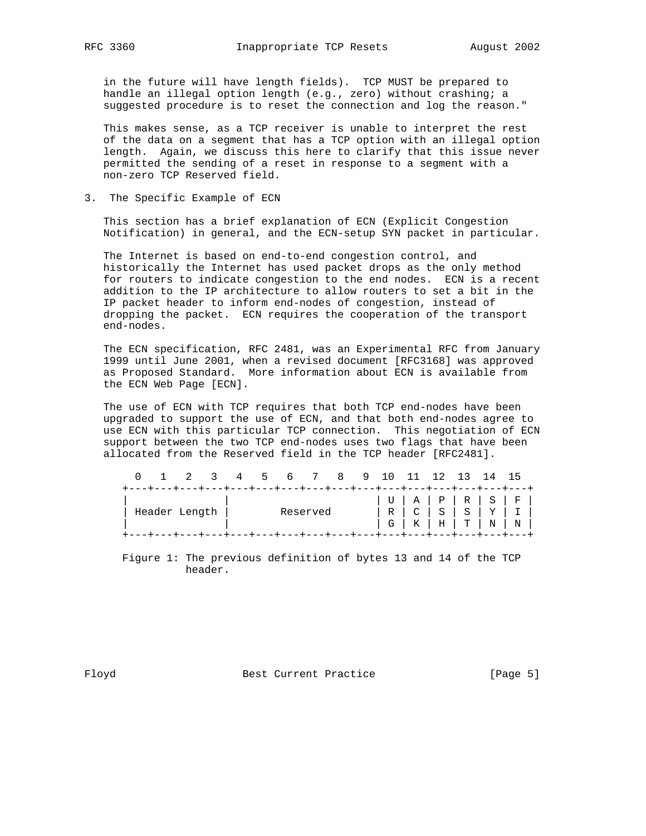in the future will have length fields). TCP MUST be prepared to handle an illegal option length (e.g., zero) without crashing; a suggested procedure is to reset the connection and log the reason."

 This makes sense, as a TCP receiver is unable to interpret the rest of the data on a segment that has a TCP option with an illegal option length. Again, we discuss this here to clarify that this issue never permitted the sending of a reset in response to a segment with a non-zero TCP Reserved field.

3. The Specific Example of ECN

 This section has a brief explanation of ECN (Explicit Congestion Notification) in general, and the ECN-setup SYN packet in particular.

 The Internet is based on end-to-end congestion control, and historically the Internet has used packet drops as the only method for routers to indicate congestion to the end nodes. ECN is a recent addition to the IP architecture to allow routers to set a bit in the IP packet header to inform end-nodes of congestion, instead of dropping the packet. ECN requires the cooperation of the transport end-nodes.

 The ECN specification, RFC 2481, was an Experimental RFC from January 1999 until June 2001, when a revised document [RFC3168] was approved as Proposed Standard. More information about ECN is available from the ECN Web Page [ECN].

 The use of ECN with TCP requires that both TCP end-nodes have been upgraded to support the use of ECN, and that both end-nodes agree to use ECN with this particular TCP connection. This negotiation of ECN support between the two TCP end-nodes uses two flags that have been allocated from the Reserved field in the TCP header [RFC2481].

|  |                 |  |                                                                                   | 0 1 2 3 4 5 6 7 8 9 10 11 12 13 14 15 |  |  |  |  |  |  |                                                                      |  |
|--|-----------------|--|-----------------------------------------------------------------------------------|---------------------------------------|--|--|--|--|--|--|----------------------------------------------------------------------|--|
|  | ' Header Length |  | +---+---+---+---+---+---+---+---+---+---+---+---+---+---+---+---+---+<br>Reserved |                                       |  |  |  |  |  |  | G   K   H   T   N   N                                                |  |
|  |                 |  |                                                                                   |                                       |  |  |  |  |  |  | +---+---+---+---+---+---+---+---+---+---+---+---+---+---+---+---+--- |  |

 Figure 1: The previous definition of bytes 13 and 14 of the TCP header.

Floyd Best Current Practice [Page 5]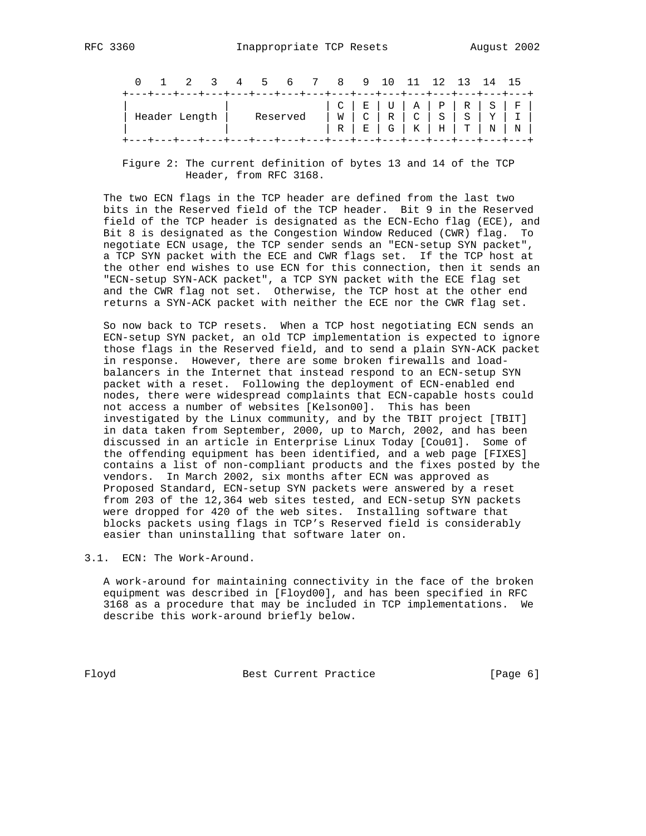|                                                                       |  |  |                                                                          |          |  | 0 1 2 3 4 5 6 7 8 9 10 11 12 13 14 15 |  |  |  |  |                                   |  |
|-----------------------------------------------------------------------|--|--|--------------------------------------------------------------------------|----------|--|---------------------------------------|--|--|--|--|-----------------------------------|--|
|                                                                       |  |  | +---+---+---+---+---+---+---+---+---+---+---+---+---+---+---+---+---+--- |          |  |                                       |  |  |  |  | $C   E   U   A   P   R   S   F  $ |  |
| Header Length                                                         |  |  |                                                                          | Reserved |  |                                       |  |  |  |  |                                   |  |
| +---+---+---+---+---+---+---+---+---+---+---+---+---+---+---+---+---+ |  |  |                                                                          |          |  |                                       |  |  |  |  |                                   |  |

 Figure 2: The current definition of bytes 13 and 14 of the TCP Header, from RFC 3168.

 The two ECN flags in the TCP header are defined from the last two bits in the Reserved field of the TCP header. Bit 9 in the Reserved field of the TCP header is designated as the ECN-Echo flag (ECE), and Bit 8 is designated as the Congestion Window Reduced (CWR) flag. To negotiate ECN usage, the TCP sender sends an "ECN-setup SYN packet", a TCP SYN packet with the ECE and CWR flags set. If the TCP host at the other end wishes to use ECN for this connection, then it sends an "ECN-setup SYN-ACK packet", a TCP SYN packet with the ECE flag set and the CWR flag not set. Otherwise, the TCP host at the other end returns a SYN-ACK packet with neither the ECE nor the CWR flag set.

 So now back to TCP resets. When a TCP host negotiating ECN sends an ECN-setup SYN packet, an old TCP implementation is expected to ignore those flags in the Reserved field, and to send a plain SYN-ACK packet in response. However, there are some broken firewalls and load balancers in the Internet that instead respond to an ECN-setup SYN packet with a reset. Following the deployment of ECN-enabled end nodes, there were widespread complaints that ECN-capable hosts could not access a number of websites [Kelson00]. This has been investigated by the Linux community, and by the TBIT project [TBIT] in data taken from September, 2000, up to March, 2002, and has been discussed in an article in Enterprise Linux Today [Cou01]. Some of the offending equipment has been identified, and a web page [FIXES] contains a list of non-compliant products and the fixes posted by the vendors. In March 2002, six months after ECN was approved as Proposed Standard, ECN-setup SYN packets were answered by a reset from 203 of the 12,364 web sites tested, and ECN-setup SYN packets were dropped for 420 of the web sites. Installing software that blocks packets using flags in TCP's Reserved field is considerably easier than uninstalling that software later on.

3.1. ECN: The Work-Around.

 A work-around for maintaining connectivity in the face of the broken equipment was described in [Floyd00], and has been specified in RFC 3168 as a procedure that may be included in TCP implementations. We describe this work-around briefly below.

Floyd Best Current Practice [Page 6]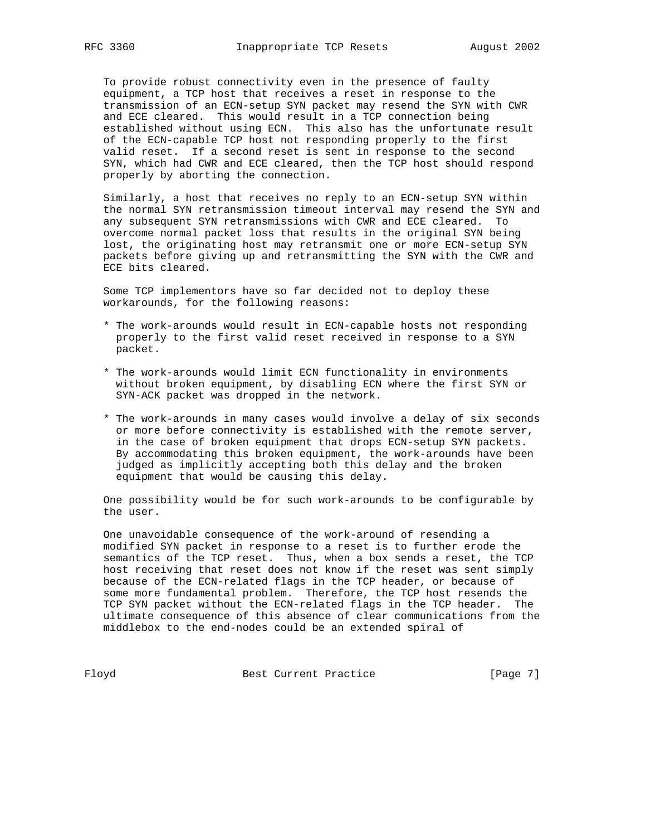To provide robust connectivity even in the presence of faulty equipment, a TCP host that receives a reset in response to the transmission of an ECN-setup SYN packet may resend the SYN with CWR and ECE cleared. This would result in a TCP connection being established without using ECN. This also has the unfortunate result of the ECN-capable TCP host not responding properly to the first valid reset. If a second reset is sent in response to the second SYN, which had CWR and ECE cleared, then the TCP host should respond properly by aborting the connection.

 Similarly, a host that receives no reply to an ECN-setup SYN within the normal SYN retransmission timeout interval may resend the SYN and any subsequent SYN retransmissions with CWR and ECE cleared. To overcome normal packet loss that results in the original SYN being lost, the originating host may retransmit one or more ECN-setup SYN packets before giving up and retransmitting the SYN with the CWR and ECE bits cleared.

 Some TCP implementors have so far decided not to deploy these workarounds, for the following reasons:

- \* The work-arounds would result in ECN-capable hosts not responding properly to the first valid reset received in response to a SYN packet.
- \* The work-arounds would limit ECN functionality in environments without broken equipment, by disabling ECN where the first SYN or SYN-ACK packet was dropped in the network.
- \* The work-arounds in many cases would involve a delay of six seconds or more before connectivity is established with the remote server, in the case of broken equipment that drops ECN-setup SYN packets. By accommodating this broken equipment, the work-arounds have been judged as implicitly accepting both this delay and the broken equipment that would be causing this delay.

 One possibility would be for such work-arounds to be configurable by the user.

 One unavoidable consequence of the work-around of resending a modified SYN packet in response to a reset is to further erode the semantics of the TCP reset. Thus, when a box sends a reset, the TCP host receiving that reset does not know if the reset was sent simply because of the ECN-related flags in the TCP header, or because of some more fundamental problem. Therefore, the TCP host resends the TCP SYN packet without the ECN-related flags in the TCP header. The ultimate consequence of this absence of clear communications from the middlebox to the end-nodes could be an extended spiral of

Floyd Best Current Practice [Page 7]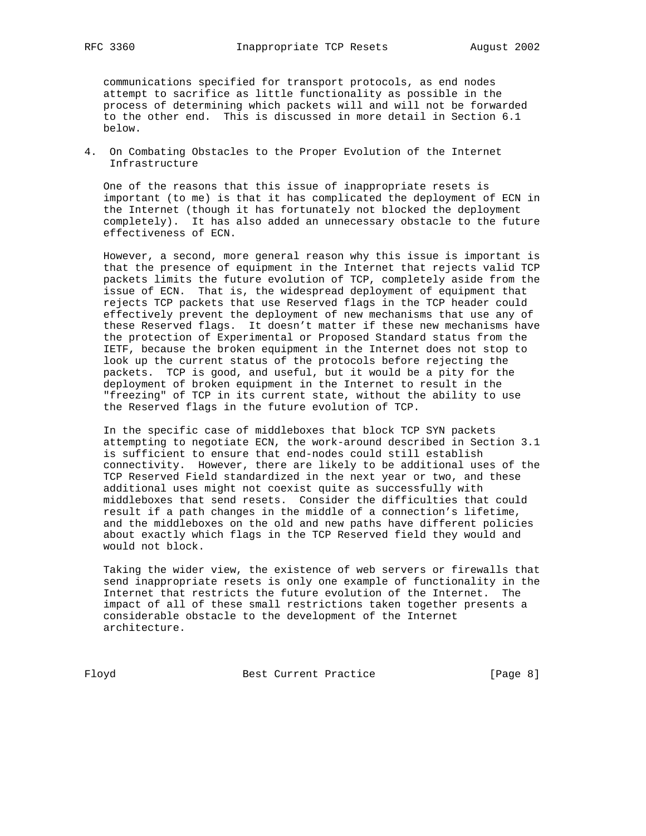communications specified for transport protocols, as end nodes attempt to sacrifice as little functionality as possible in the process of determining which packets will and will not be forwarded to the other end. This is discussed in more detail in Section 6.1 below.

4. On Combating Obstacles to the Proper Evolution of the Internet Infrastructure

 One of the reasons that this issue of inappropriate resets is important (to me) is that it has complicated the deployment of ECN in the Internet (though it has fortunately not blocked the deployment completely). It has also added an unnecessary obstacle to the future effectiveness of ECN.

 However, a second, more general reason why this issue is important is that the presence of equipment in the Internet that rejects valid TCP packets limits the future evolution of TCP, completely aside from the issue of ECN. That is, the widespread deployment of equipment that rejects TCP packets that use Reserved flags in the TCP header could effectively prevent the deployment of new mechanisms that use any of these Reserved flags. It doesn't matter if these new mechanisms have the protection of Experimental or Proposed Standard status from the IETF, because the broken equipment in the Internet does not stop to look up the current status of the protocols before rejecting the packets. TCP is good, and useful, but it would be a pity for the deployment of broken equipment in the Internet to result in the "freezing" of TCP in its current state, without the ability to use the Reserved flags in the future evolution of TCP.

 In the specific case of middleboxes that block TCP SYN packets attempting to negotiate ECN, the work-around described in Section 3.1 is sufficient to ensure that end-nodes could still establish connectivity. However, there are likely to be additional uses of the TCP Reserved Field standardized in the next year or two, and these additional uses might not coexist quite as successfully with middleboxes that send resets. Consider the difficulties that could result if a path changes in the middle of a connection's lifetime, and the middleboxes on the old and new paths have different policies about exactly which flags in the TCP Reserved field they would and would not block.

 Taking the wider view, the existence of web servers or firewalls that send inappropriate resets is only one example of functionality in the Internet that restricts the future evolution of the Internet. The impact of all of these small restrictions taken together presents a considerable obstacle to the development of the Internet architecture.

Floyd Best Current Practice [Page 8]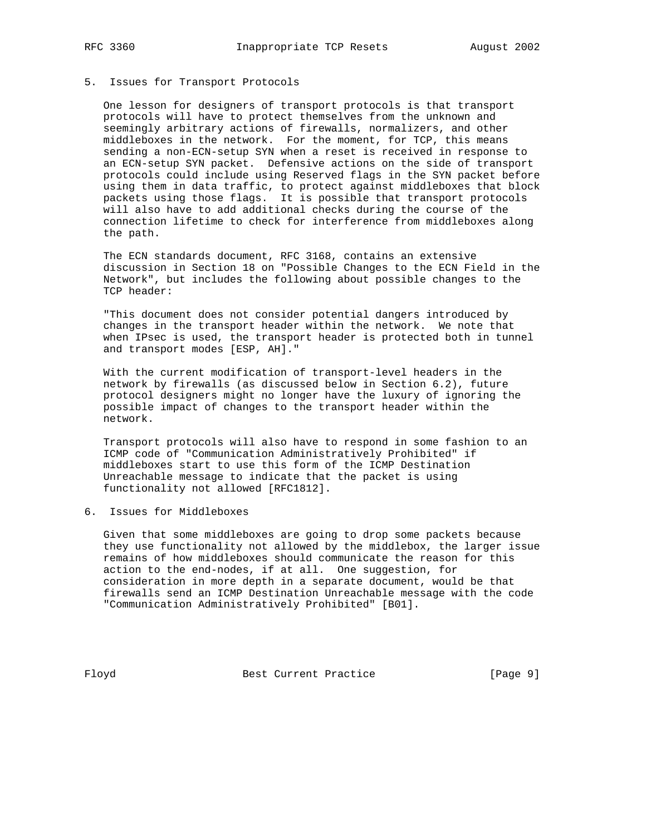## 5. Issues for Transport Protocols

 One lesson for designers of transport protocols is that transport protocols will have to protect themselves from the unknown and seemingly arbitrary actions of firewalls, normalizers, and other middleboxes in the network. For the moment, for TCP, this means sending a non-ECN-setup SYN when a reset is received in response to an ECN-setup SYN packet. Defensive actions on the side of transport protocols could include using Reserved flags in the SYN packet before using them in data traffic, to protect against middleboxes that block packets using those flags. It is possible that transport protocols will also have to add additional checks during the course of the connection lifetime to check for interference from middleboxes along the path.

 The ECN standards document, RFC 3168, contains an extensive discussion in Section 18 on "Possible Changes to the ECN Field in the Network", but includes the following about possible changes to the TCP header:

 "This document does not consider potential dangers introduced by changes in the transport header within the network. We note that when IPsec is used, the transport header is protected both in tunnel and transport modes [ESP, AH]."

 With the current modification of transport-level headers in the network by firewalls (as discussed below in Section 6.2), future protocol designers might no longer have the luxury of ignoring the possible impact of changes to the transport header within the network.

 Transport protocols will also have to respond in some fashion to an ICMP code of "Communication Administratively Prohibited" if middleboxes start to use this form of the ICMP Destination Unreachable message to indicate that the packet is using functionality not allowed [RFC1812].

6. Issues for Middleboxes

 Given that some middleboxes are going to drop some packets because they use functionality not allowed by the middlebox, the larger issue remains of how middleboxes should communicate the reason for this action to the end-nodes, if at all. One suggestion, for consideration in more depth in a separate document, would be that firewalls send an ICMP Destination Unreachable message with the code "Communication Administratively Prohibited" [B01].

Floyd Best Current Practice [Page 9]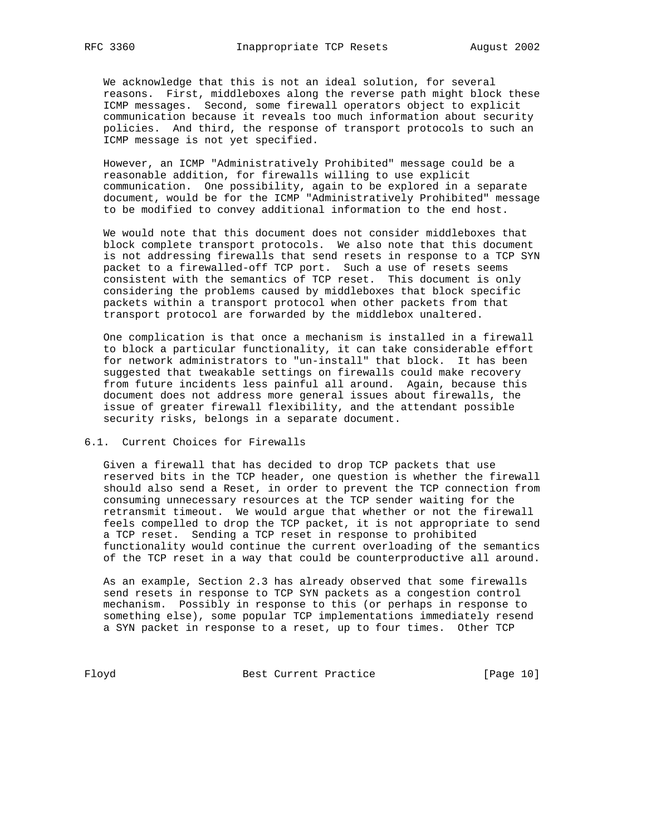We acknowledge that this is not an ideal solution, for several reasons. First, middleboxes along the reverse path might block these ICMP messages. Second, some firewall operators object to explicit communication because it reveals too much information about security policies. And third, the response of transport protocols to such an ICMP message is not yet specified.

 However, an ICMP "Administratively Prohibited" message could be a reasonable addition, for firewalls willing to use explicit communication. One possibility, again to be explored in a separate document, would be for the ICMP "Administratively Prohibited" message to be modified to convey additional information to the end host.

 We would note that this document does not consider middleboxes that block complete transport protocols. We also note that this document is not addressing firewalls that send resets in response to a TCP SYN packet to a firewalled-off TCP port. Such a use of resets seems consistent with the semantics of TCP reset. This document is only considering the problems caused by middleboxes that block specific packets within a transport protocol when other packets from that transport protocol are forwarded by the middlebox unaltered.

 One complication is that once a mechanism is installed in a firewall to block a particular functionality, it can take considerable effort for network administrators to "un-install" that block. It has been suggested that tweakable settings on firewalls could make recovery from future incidents less painful all around. Again, because this document does not address more general issues about firewalls, the issue of greater firewall flexibility, and the attendant possible security risks, belongs in a separate document.

## 6.1. Current Choices for Firewalls

 Given a firewall that has decided to drop TCP packets that use reserved bits in the TCP header, one question is whether the firewall should also send a Reset, in order to prevent the TCP connection from consuming unnecessary resources at the TCP sender waiting for the retransmit timeout. We would argue that whether or not the firewall feels compelled to drop the TCP packet, it is not appropriate to send a TCP reset. Sending a TCP reset in response to prohibited functionality would continue the current overloading of the semantics of the TCP reset in a way that could be counterproductive all around.

 As an example, Section 2.3 has already observed that some firewalls send resets in response to TCP SYN packets as a congestion control mechanism. Possibly in response to this (or perhaps in response to something else), some popular TCP implementations immediately resend a SYN packet in response to a reset, up to four times. Other TCP

Floyd Best Current Practice [Page 10]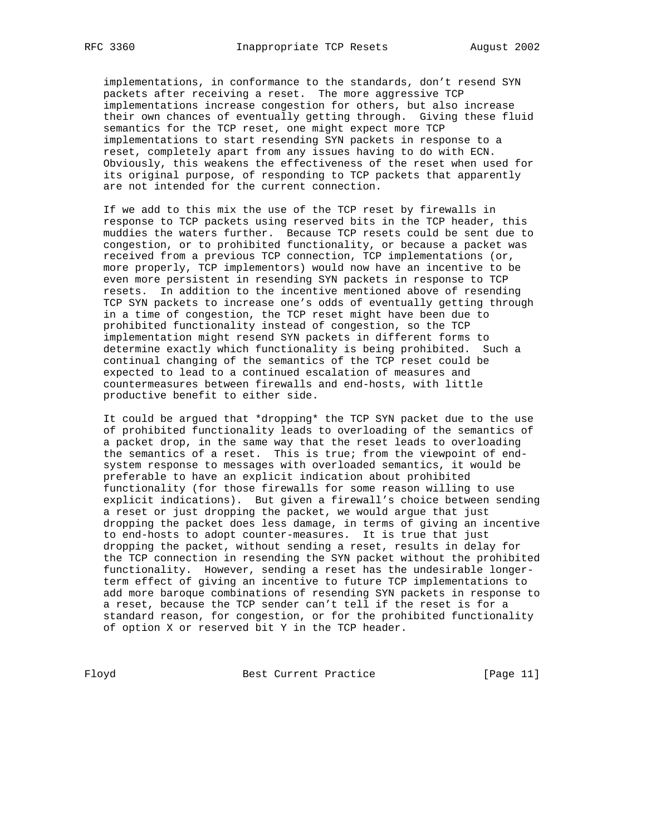implementations, in conformance to the standards, don't resend SYN packets after receiving a reset. The more aggressive TCP implementations increase congestion for others, but also increase their own chances of eventually getting through. Giving these fluid semantics for the TCP reset, one might expect more TCP implementations to start resending SYN packets in response to a reset, completely apart from any issues having to do with ECN. Obviously, this weakens the effectiveness of the reset when used for its original purpose, of responding to TCP packets that apparently are not intended for the current connection.

 If we add to this mix the use of the TCP reset by firewalls in response to TCP packets using reserved bits in the TCP header, this muddies the waters further. Because TCP resets could be sent due to congestion, or to prohibited functionality, or because a packet was received from a previous TCP connection, TCP implementations (or, more properly, TCP implementors) would now have an incentive to be even more persistent in resending SYN packets in response to TCP resets. In addition to the incentive mentioned above of resending TCP SYN packets to increase one's odds of eventually getting through in a time of congestion, the TCP reset might have been due to prohibited functionality instead of congestion, so the TCP implementation might resend SYN packets in different forms to determine exactly which functionality is being prohibited. Such a continual changing of the semantics of the TCP reset could be expected to lead to a continued escalation of measures and countermeasures between firewalls and end-hosts, with little productive benefit to either side.

 It could be argued that \*dropping\* the TCP SYN packet due to the use of prohibited functionality leads to overloading of the semantics of a packet drop, in the same way that the reset leads to overloading the semantics of a reset. This is true; from the viewpoint of end system response to messages with overloaded semantics, it would be preferable to have an explicit indication about prohibited functionality (for those firewalls for some reason willing to use explicit indications). But given a firewall's choice between sending a reset or just dropping the packet, we would argue that just dropping the packet does less damage, in terms of giving an incentive to end-hosts to adopt counter-measures. It is true that just dropping the packet, without sending a reset, results in delay for the TCP connection in resending the SYN packet without the prohibited functionality. However, sending a reset has the undesirable longer term effect of giving an incentive to future TCP implementations to add more baroque combinations of resending SYN packets in response to a reset, because the TCP sender can't tell if the reset is for a standard reason, for congestion, or for the prohibited functionality of option X or reserved bit Y in the TCP header.

Floyd Best Current Practice [Page 11]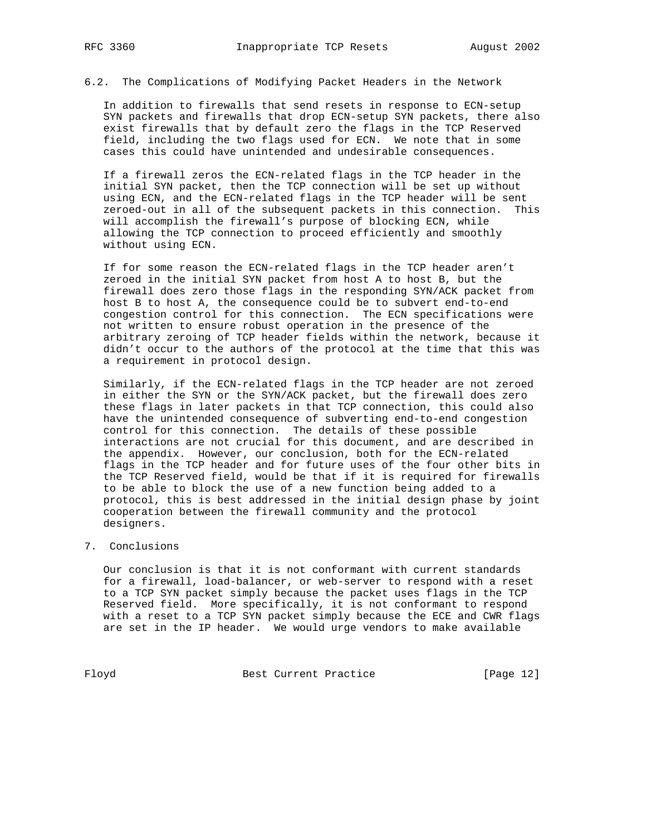6.2. The Complications of Modifying Packet Headers in the Network

 In addition to firewalls that send resets in response to ECN-setup SYN packets and firewalls that drop ECN-setup SYN packets, there also exist firewalls that by default zero the flags in the TCP Reserved field, including the two flags used for ECN. We note that in some cases this could have unintended and undesirable consequences.

 If a firewall zeros the ECN-related flags in the TCP header in the initial SYN packet, then the TCP connection will be set up without using ECN, and the ECN-related flags in the TCP header will be sent zeroed-out in all of the subsequent packets in this connection. This will accomplish the firewall's purpose of blocking ECN, while allowing the TCP connection to proceed efficiently and smoothly without using ECN.

 If for some reason the ECN-related flags in the TCP header aren't zeroed in the initial SYN packet from host A to host B, but the firewall does zero those flags in the responding SYN/ACK packet from host B to host A, the consequence could be to subvert end-to-end congestion control for this connection. The ECN specifications were not written to ensure robust operation in the presence of the arbitrary zeroing of TCP header fields within the network, because it didn't occur to the authors of the protocol at the time that this was a requirement in protocol design.

 Similarly, if the ECN-related flags in the TCP header are not zeroed in either the SYN or the SYN/ACK packet, but the firewall does zero these flags in later packets in that TCP connection, this could also have the unintended consequence of subverting end-to-end congestion control for this connection. The details of these possible interactions are not crucial for this document, and are described in the appendix. However, our conclusion, both for the ECN-related flags in the TCP header and for future uses of the four other bits in the TCP Reserved field, would be that if it is required for firewalls to be able to block the use of a new function being added to a protocol, this is best addressed in the initial design phase by joint cooperation between the firewall community and the protocol designers.

## 7. Conclusions

 Our conclusion is that it is not conformant with current standards for a firewall, load-balancer, or web-server to respond with a reset to a TCP SYN packet simply because the packet uses flags in the TCP Reserved field. More specifically, it is not conformant to respond with a reset to a TCP SYN packet simply because the ECE and CWR flags are set in the IP header. We would urge vendors to make available

Floyd Best Current Practice [Page 12]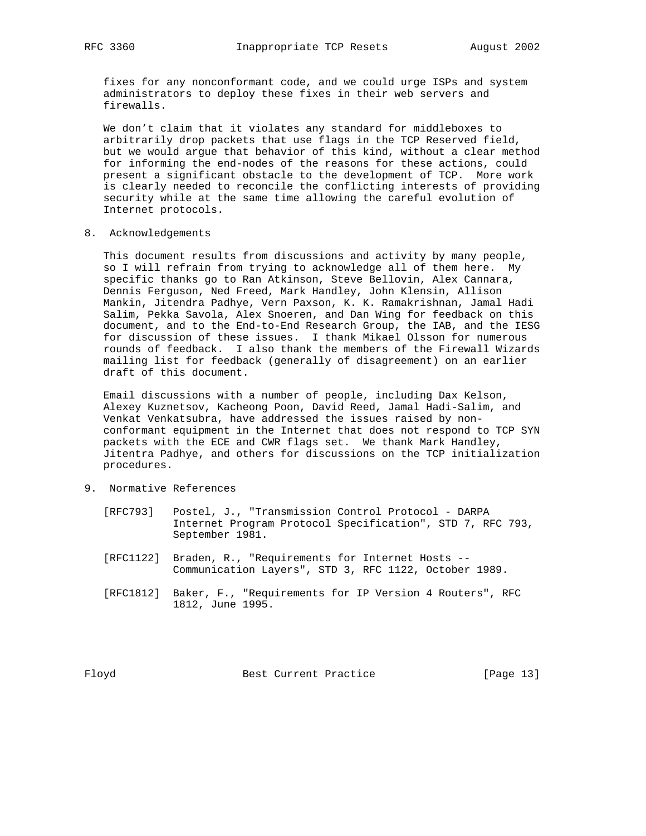fixes for any nonconformant code, and we could urge ISPs and system administrators to deploy these fixes in their web servers and firewalls.

 We don't claim that it violates any standard for middleboxes to arbitrarily drop packets that use flags in the TCP Reserved field, but we would argue that behavior of this kind, without a clear method for informing the end-nodes of the reasons for these actions, could present a significant obstacle to the development of TCP. More work is clearly needed to reconcile the conflicting interests of providing security while at the same time allowing the careful evolution of Internet protocols.

8. Acknowledgements

 This document results from discussions and activity by many people, so I will refrain from trying to acknowledge all of them here. My specific thanks go to Ran Atkinson, Steve Bellovin, Alex Cannara, Dennis Ferguson, Ned Freed, Mark Handley, John Klensin, Allison Mankin, Jitendra Padhye, Vern Paxson, K. K. Ramakrishnan, Jamal Hadi Salim, Pekka Savola, Alex Snoeren, and Dan Wing for feedback on this document, and to the End-to-End Research Group, the IAB, and the IESG for discussion of these issues. I thank Mikael Olsson for numerous rounds of feedback. I also thank the members of the Firewall Wizards mailing list for feedback (generally of disagreement) on an earlier draft of this document.

 Email discussions with a number of people, including Dax Kelson, Alexey Kuznetsov, Kacheong Poon, David Reed, Jamal Hadi-Salim, and Venkat Venkatsubra, have addressed the issues raised by non conformant equipment in the Internet that does not respond to TCP SYN packets with the ECE and CWR flags set. We thank Mark Handley, Jitentra Padhye, and others for discussions on the TCP initialization procedures.

- 9. Normative References
	- [RFC793] Postel, J., "Transmission Control Protocol DARPA Internet Program Protocol Specification", STD 7, RFC 793, September 1981.
	- [RFC1122] Braden, R., "Requirements for Internet Hosts -- Communication Layers", STD 3, RFC 1122, October 1989.
	- [RFC1812] Baker, F., "Requirements for IP Version 4 Routers", RFC 1812, June 1995.

Floyd Best Current Practice [Page 13]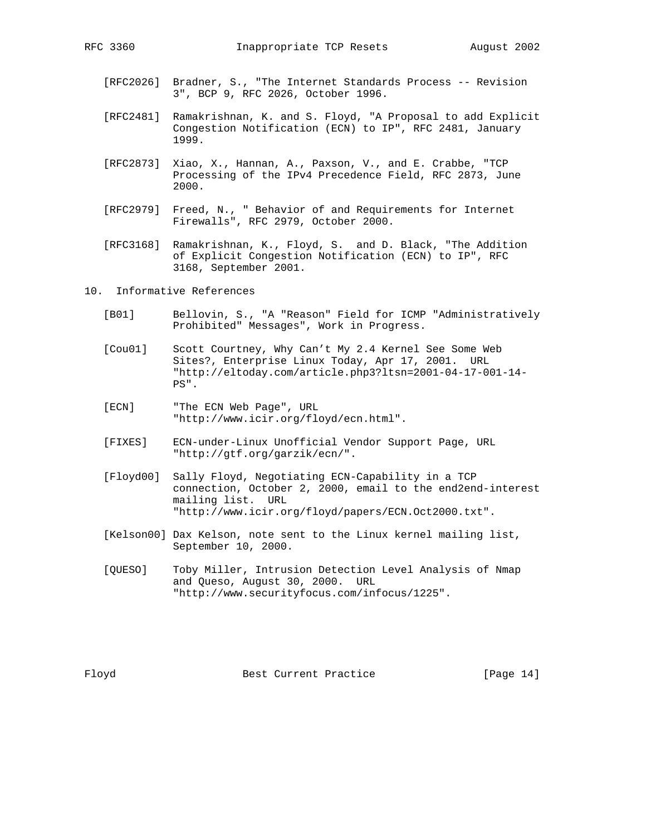- [RFC2026] Bradner, S., "The Internet Standards Process -- Revision 3", BCP 9, RFC 2026, October 1996.
- [RFC2481] Ramakrishnan, K. and S. Floyd, "A Proposal to add Explicit Congestion Notification (ECN) to IP", RFC 2481, January 1999.
- [RFC2873] Xiao, X., Hannan, A., Paxson, V., and E. Crabbe, "TCP Processing of the IPv4 Precedence Field, RFC 2873, June 2000.
- [RFC2979] Freed, N., " Behavior of and Requirements for Internet Firewalls", RFC 2979, October 2000.
- [RFC3168] Ramakrishnan, K., Floyd, S. and D. Black, "The Addition of Explicit Congestion Notification (ECN) to IP", RFC 3168, September 2001.

10. Informative References

- [B01] Bellovin, S., "A "Reason" Field for ICMP "Administratively Prohibited" Messages", Work in Progress.
- [Cou01] Scott Courtney, Why Can't My 2.4 Kernel See Some Web Sites?, Enterprise Linux Today, Apr 17, 2001. URL "http://eltoday.com/article.php3?ltsn=2001-04-17-001-14- PS".
- [ECN] "The ECN Web Page", URL "http://www.icir.org/floyd/ecn.html".
- [FIXES] ECN-under-Linux Unofficial Vendor Support Page, URL "http://gtf.org/garzik/ecn/".
- [Floyd00] Sally Floyd, Negotiating ECN-Capability in a TCP connection, October 2, 2000, email to the end2end-interest mailing list. URL "http://www.icir.org/floyd/papers/ECN.Oct2000.txt".
- [Kelson00] Dax Kelson, note sent to the Linux kernel mailing list, September 10, 2000.
- [QUESO] Toby Miller, Intrusion Detection Level Analysis of Nmap and Queso, August 30, 2000. URL "http://www.securityfocus.com/infocus/1225".

Floyd Best Current Practice [Page 14]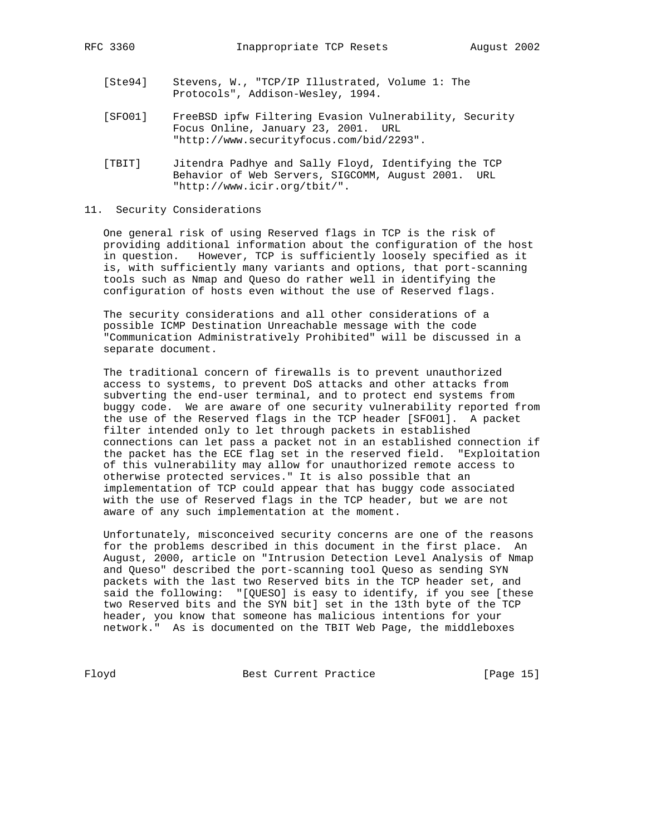- [Ste94] Stevens, W., "TCP/IP Illustrated, Volume 1: The Protocols", Addison-Wesley, 1994.
- [SFO01] FreeBSD ipfw Filtering Evasion Vulnerability, Security Focus Online, January 23, 2001. URL "http://www.securityfocus.com/bid/2293".
- [TBIT] Jitendra Padhye and Sally Floyd, Identifying the TCP Behavior of Web Servers, SIGCOMM, August 2001. URL "http://www.icir.org/tbit/".

## 11. Security Considerations

 One general risk of using Reserved flags in TCP is the risk of providing additional information about the configuration of the host in question. However, TCP is sufficiently loosely specified as it is, with sufficiently many variants and options, that port-scanning tools such as Nmap and Queso do rather well in identifying the configuration of hosts even without the use of Reserved flags.

 The security considerations and all other considerations of a possible ICMP Destination Unreachable message with the code "Communication Administratively Prohibited" will be discussed in a separate document.

 The traditional concern of firewalls is to prevent unauthorized access to systems, to prevent DoS attacks and other attacks from subverting the end-user terminal, and to protect end systems from buggy code. We are aware of one security vulnerability reported from the use of the Reserved flags in the TCP header [SFO01]. A packet filter intended only to let through packets in established connections can let pass a packet not in an established connection if the packet has the ECE flag set in the reserved field. "Exploitation of this vulnerability may allow for unauthorized remote access to otherwise protected services." It is also possible that an implementation of TCP could appear that has buggy code associated with the use of Reserved flags in the TCP header, but we are not aware of any such implementation at the moment.

 Unfortunately, misconceived security concerns are one of the reasons for the problems described in this document in the first place. An August, 2000, article on "Intrusion Detection Level Analysis of Nmap and Queso" described the port-scanning tool Queso as sending SYN packets with the last two Reserved bits in the TCP header set, and said the following: "[QUESO] is easy to identify, if you see [these two Reserved bits and the SYN bit] set in the 13th byte of the TCP header, you know that someone has malicious intentions for your network." As is documented on the TBIT Web Page, the middleboxes

Floyd Best Current Practice [Page 15]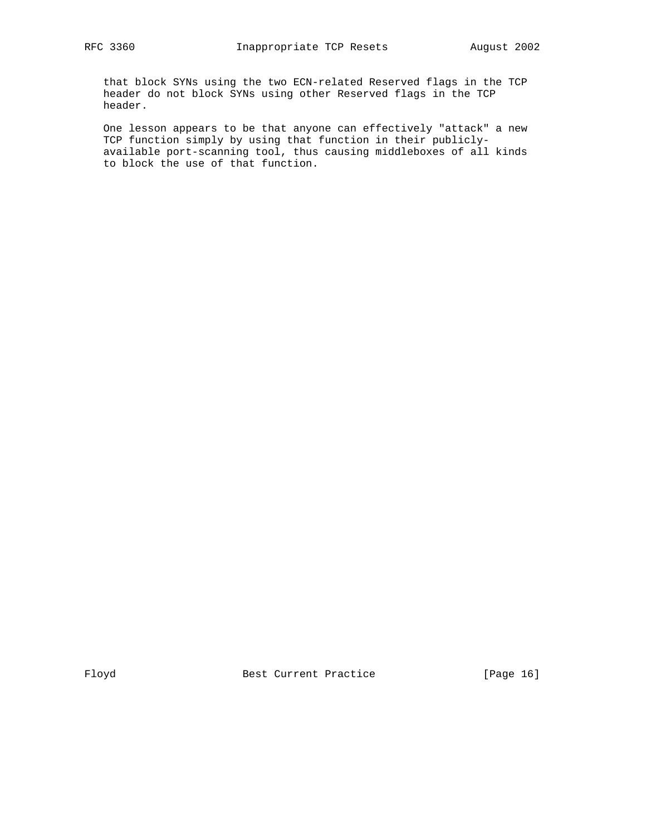that block SYNs using the two ECN-related Reserved flags in the TCP header do not block SYNs using other Reserved flags in the TCP header.

 One lesson appears to be that anyone can effectively "attack" a new TCP function simply by using that function in their publicly available port-scanning tool, thus causing middleboxes of all kinds to block the use of that function.

Floyd Best Current Practice [Page 16]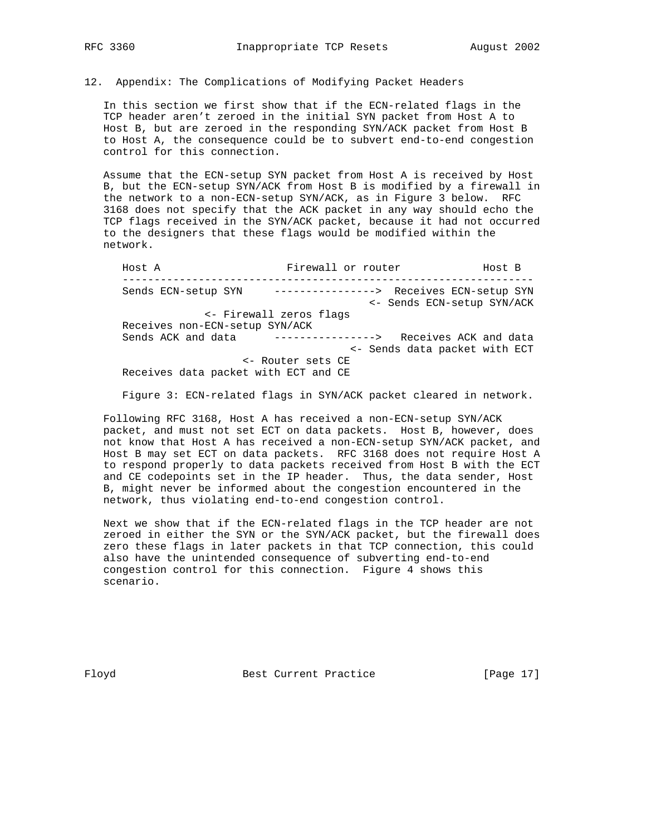12. Appendix: The Complications of Modifying Packet Headers

 In this section we first show that if the ECN-related flags in the TCP header aren't zeroed in the initial SYN packet from Host A to Host B, but are zeroed in the responding SYN/ACK packet from Host B to Host A, the consequence could be to subvert end-to-end congestion control for this connection.

 Assume that the ECN-setup SYN packet from Host A is received by Host B, but the ECN-setup SYN/ACK from Host B is modified by a firewall in the network to a non-ECN-setup SYN/ACK, as in Figure 3 below. RFC 3168 does not specify that the ACK packet in any way should echo the TCP flags received in the SYN/ACK packet, because it had not occurred to the designers that these flags would be modified within the network.

Host A Firewall or router Host B ----------------------------------------------------------------- Sends ECN-setup SYN ----------------> Receives ECN-setup SYN <- Sends ECN-setup SYN/ACK <- Firewall zeros flags Receives non-ECN-setup SYN/ACK Sends ACK and data ----------------> Receives ACK and data <- Sends data packet with ECT <- Router sets CE Receives data packet with ECT and CE

Figure 3: ECN-related flags in SYN/ACK packet cleared in network.

 Following RFC 3168, Host A has received a non-ECN-setup SYN/ACK packet, and must not set ECT on data packets. Host B, however, does not know that Host A has received a non-ECN-setup SYN/ACK packet, and Host B may set ECT on data packets. RFC 3168 does not require Host A to respond properly to data packets received from Host B with the ECT and CE codepoints set in the IP header. Thus, the data sender, Host B, might never be informed about the congestion encountered in the network, thus violating end-to-end congestion control.

 Next we show that if the ECN-related flags in the TCP header are not zeroed in either the SYN or the SYN/ACK packet, but the firewall does zero these flags in later packets in that TCP connection, this could also have the unintended consequence of subverting end-to-end congestion control for this connection. Figure 4 shows this scenario.

Floyd Best Current Practice [Page 17]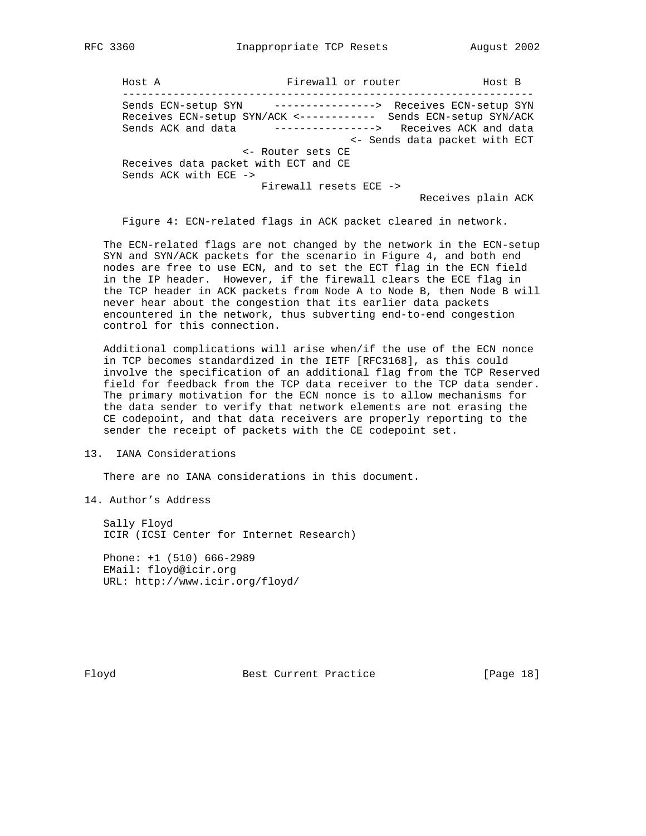Host A Firewall or router Host B ----------------------------------------------------------------- Sends ECN-setup SYN ----------------> Receives ECN-setup SYN Receives ECN-setup SYN/ACK <------------ Sends ECN-setup SYN/ACK Sends ACK and data ----------------> Receives ACK and data <- Sends data packet with ECT <- Router sets CE Receives data packet with ECT and CE Sends ACK with ECE -> Firewall resets ECE -> Receives plain ACK

Figure 4: ECN-related flags in ACK packet cleared in network.

 The ECN-related flags are not changed by the network in the ECN-setup SYN and SYN/ACK packets for the scenario in Figure 4, and both end nodes are free to use ECN, and to set the ECT flag in the ECN field in the IP header. However, if the firewall clears the ECE flag in the TCP header in ACK packets from Node A to Node B, then Node B will never hear about the congestion that its earlier data packets encountered in the network, thus subverting end-to-end congestion control for this connection.

 Additional complications will arise when/if the use of the ECN nonce in TCP becomes standardized in the IETF [RFC3168], as this could involve the specification of an additional flag from the TCP Reserved field for feedback from the TCP data receiver to the TCP data sender. The primary motivation for the ECN nonce is to allow mechanisms for the data sender to verify that network elements are not erasing the CE codepoint, and that data receivers are properly reporting to the sender the receipt of packets with the CE codepoint set.

13. IANA Considerations

There are no IANA considerations in this document.

14. Author's Address

 Sally Floyd ICIR (ICSI Center for Internet Research)

 Phone: +1 (510) 666-2989 EMail: floyd@icir.org URL: http://www.icir.org/floyd/

Floyd Best Current Practice [Page 18]